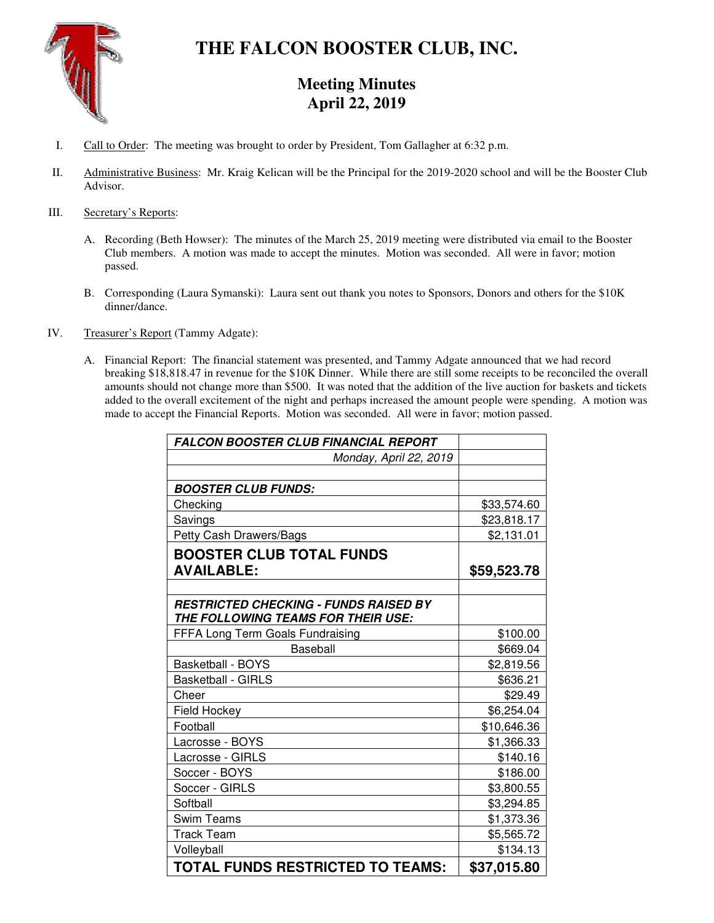

# **THE FALCON BOOSTER CLUB, INC.**

# **Meeting Minutes April 22, 2019**

- I. Call to Order: The meeting was brought to order by President, Tom Gallagher at 6:32 p.m.
- II. Administrative Business: Mr. Kraig Kelican will be the Principal for the 2019-2020 school and will be the Booster Club Advisor.

# III. Secretary's Reports:

- A. Recording (Beth Howser): The minutes of the March 25, 2019 meeting were distributed via email to the Booster Club members. A motion was made to accept the minutes. Motion was seconded. All were in favor; motion passed.
- B. Corresponding (Laura Symanski): Laura sent out thank you notes to Sponsors, Donors and others for the \$10K dinner/dance.
- IV. Treasurer's Report (Tammy Adgate):
	- A. Financial Report: The financial statement was presented, and Tammy Adgate announced that we had record breaking \$18,818.47 in revenue for the \$10K Dinner. While there are still some receipts to be reconciled the overall amounts should not change more than \$500. It was noted that the addition of the live auction for baskets and tickets added to the overall excitement of the night and perhaps increased the amount people were spending. A motion was made to accept the Financial Reports. Motion was seconded. All were in favor; motion passed.

| <b>FALCON BOOSTER CLUB FINANCIAL REPORT</b>                                        |             |
|------------------------------------------------------------------------------------|-------------|
| Monday, April 22, 2019                                                             |             |
|                                                                                    |             |
| <b>BOOSTER CLUB FUNDS:</b>                                                         |             |
| Checking                                                                           | \$33,574.60 |
| Savings                                                                            | \$23,818.17 |
| Petty Cash Drawers/Bags                                                            | \$2,131.01  |
| <b>BOOSTER CLUB TOTAL FUNDS</b>                                                    |             |
| <b>AVAILABLE:</b>                                                                  | \$59,523.78 |
|                                                                                    |             |
| <b>RESTRICTED CHECKING - FUNDS RAISED BY</b><br>THE FOLLOWING TEAMS FOR THEIR USE: |             |
| FFFA Long Term Goals Fundraising                                                   | \$100.00    |
| Baseball                                                                           | \$669.04    |
| <b>Basketball - BOYS</b>                                                           | \$2,819.56  |
| <b>Basketball - GIRLS</b>                                                          | \$636.21    |
| Cheer                                                                              | \$29.49     |
| Field Hockey                                                                       | \$6,254.04  |
| Football                                                                           | \$10,646.36 |
| Lacrosse - BOYS                                                                    | \$1,366.33  |
| Lacrosse - GIRLS                                                                   | \$140.16    |
| Soccer - BOYS                                                                      | \$186.00    |
| Soccer - GIRLS                                                                     | \$3,800.55  |
| Softball                                                                           | \$3,294.85  |
| <b>Swim Teams</b>                                                                  | \$1,373.36  |
| <b>Track Team</b>                                                                  | \$5,565.72  |
| Volleyball                                                                         | \$134.13    |
| <b>TOTAL FUNDS RESTRICTED TO TEAMS:</b>                                            | \$37,015.80 |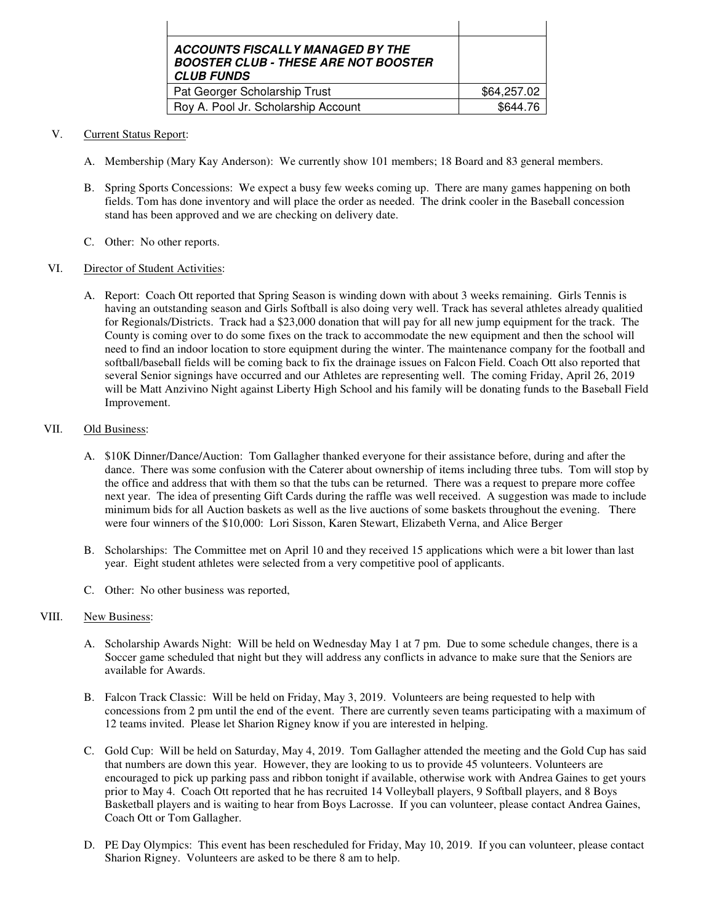| <b>ACCOUNTS FISCALLY MANAGED BY THE</b><br><b>BOOSTER CLUB - THESE ARE NOT BOOSTER</b><br><b>CLUB FUNDS</b> |             |
|-------------------------------------------------------------------------------------------------------------|-------------|
| Pat Georger Scholarship Trust                                                                               | \$64,257.02 |
| Roy A. Pool Jr. Scholarship Account                                                                         | \$644.76    |

## V. Current Status Report:

- A. Membership (Mary Kay Anderson): We currently show 101 members; 18 Board and 83 general members.
- B. Spring Sports Concessions: We expect a busy few weeks coming up. There are many games happening on both fields. Tom has done inventory and will place the order as needed. The drink cooler in the Baseball concession stand has been approved and we are checking on delivery date.
- C. Other: No other reports.

# VI. Director of Student Activities:

A. Report: Coach Ott reported that Spring Season is winding down with about 3 weeks remaining. Girls Tennis is having an outstanding season and Girls Softball is also doing very well. Track has several athletes already qualitied for Regionals/Districts. Track had a \$23,000 donation that will pay for all new jump equipment for the track. The County is coming over to do some fixes on the track to accommodate the new equipment and then the school will need to find an indoor location to store equipment during the winter. The maintenance company for the football and softball/baseball fields will be coming back to fix the drainage issues on Falcon Field. Coach Ott also reported that several Senior signings have occurred and our Athletes are representing well. The coming Friday, April 26, 2019 will be Matt Anzivino Night against Liberty High School and his family will be donating funds to the Baseball Field Improvement.

# VII. Old Business:

- A. \$10K Dinner/Dance/Auction: Tom Gallagher thanked everyone for their assistance before, during and after the dance. There was some confusion with the Caterer about ownership of items including three tubs. Tom will stop by the office and address that with them so that the tubs can be returned. There was a request to prepare more coffee next year. The idea of presenting Gift Cards during the raffle was well received. A suggestion was made to include minimum bids for all Auction baskets as well as the live auctions of some baskets throughout the evening. There were four winners of the \$10,000: Lori Sisson, Karen Stewart, Elizabeth Verna, and Alice Berger
- B. Scholarships: The Committee met on April 10 and they received 15 applications which were a bit lower than last year. Eight student athletes were selected from a very competitive pool of applicants.
- C. Other: No other business was reported,

# VIII. New Business:

- A. Scholarship Awards Night: Will be held on Wednesday May 1 at 7 pm. Due to some schedule changes, there is a Soccer game scheduled that night but they will address any conflicts in advance to make sure that the Seniors are available for Awards.
- B. Falcon Track Classic: Will be held on Friday, May 3, 2019. Volunteers are being requested to help with concessions from 2 pm until the end of the event. There are currently seven teams participating with a maximum of 12 teams invited. Please let Sharion Rigney know if you are interested in helping.
- C. Gold Cup: Will be held on Saturday, May 4, 2019. Tom Gallagher attended the meeting and the Gold Cup has said that numbers are down this year. However, they are looking to us to provide 45 volunteers. Volunteers are encouraged to pick up parking pass and ribbon tonight if available, otherwise work with Andrea Gaines to get yours prior to May 4. Coach Ott reported that he has recruited 14 Volleyball players, 9 Softball players, and 8 Boys Basketball players and is waiting to hear from Boys Lacrosse. If you can volunteer, please contact Andrea Gaines, Coach Ott or Tom Gallagher.
- D. PE Day Olympics: This event has been rescheduled for Friday, May 10, 2019. If you can volunteer, please contact Sharion Rigney. Volunteers are asked to be there 8 am to help.